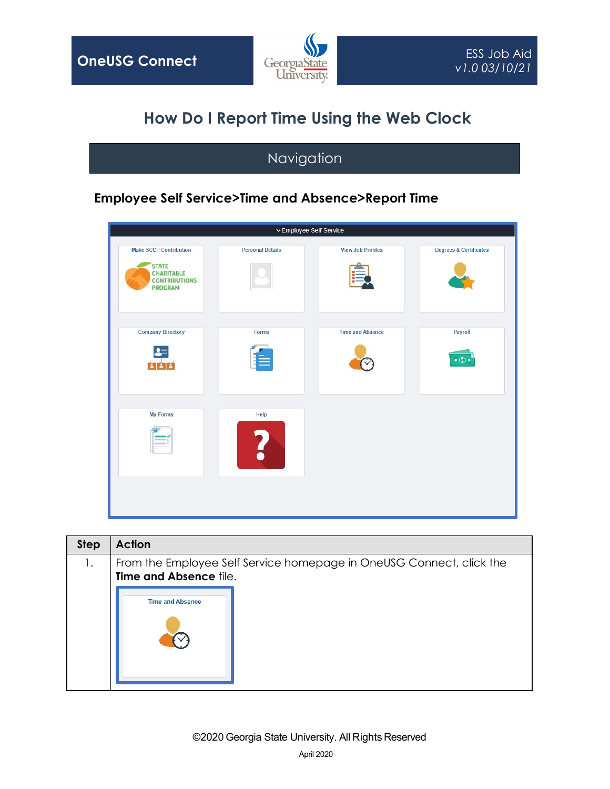

## **How Do I Report Time Using the Web Clock**

## Navigation

## **Employee Self Service>Time and Absence>Report Time**



| <b>Step</b> | <b>Action</b>                                                                                  |
|-------------|------------------------------------------------------------------------------------------------|
| 1.          | From the Employee Self Service homepage in OneUSG Connect, click the<br>Time and Absence tile. |
|             | <b>Time and Absence</b>                                                                        |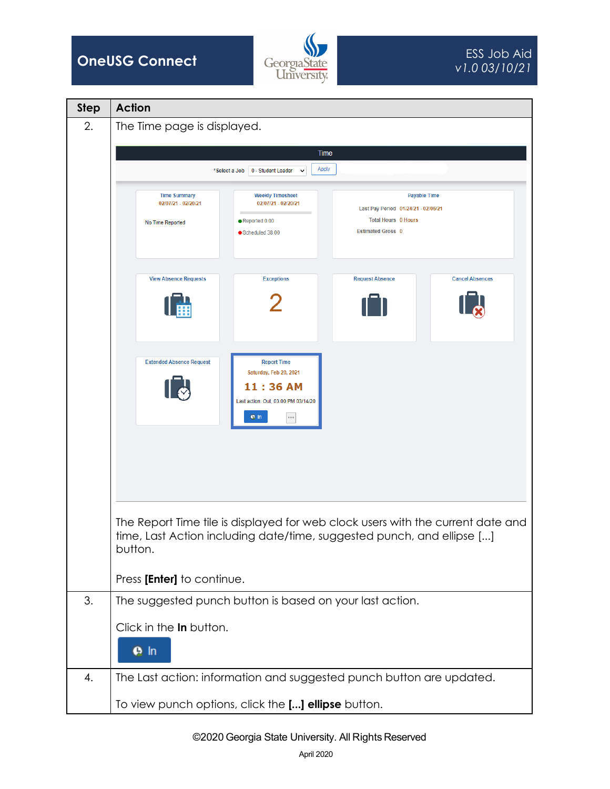

| <b>Step</b> | <b>Action</b>                                                                                                                                              |
|-------------|------------------------------------------------------------------------------------------------------------------------------------------------------------|
| 2.          | The Time page is displayed.                                                                                                                                |
|             | Time                                                                                                                                                       |
|             | Apply<br>*Select a Job<br>0 - Student Leader<br>$\check{ }$                                                                                                |
|             |                                                                                                                                                            |
|             | <b>Time Summary</b><br><b>Weekly Timesheet</b><br><b>Payable Time</b><br>02/07/21 - 02/20/21<br>02/07/21 - 02/20/21<br>Last Pay Period 01/24/21 - 02/06/21 |
|             | <b>Total Hours 0 Hours</b><br>Reported 0.00<br>No Time Reported<br><b>Estimated Gross 0</b>                                                                |
|             | Scheduled 38.00                                                                                                                                            |
|             |                                                                                                                                                            |
|             | <b>Cancel Absences</b><br><b>View Absence Requests</b><br><b>Exceptions</b><br><b>Request Absence</b>                                                      |
|             |                                                                                                                                                            |
|             |                                                                                                                                                            |
|             |                                                                                                                                                            |
|             | <b>Extended Absence Request</b><br><b>Report Time</b>                                                                                                      |
|             | Saturday, Feb 20, 2021<br>11:36 AM                                                                                                                         |
|             | Last action: Out, 03:00 PM 03/14/20                                                                                                                        |
|             | $\rho$ In<br>$\cdots$                                                                                                                                      |
|             |                                                                                                                                                            |
|             |                                                                                                                                                            |
|             |                                                                                                                                                            |
|             |                                                                                                                                                            |
|             | The Report Time tile is displayed for web clock users with the current date and                                                                            |
|             | time, Last Action including date/time, suggested punch, and ellipse []                                                                                     |
|             | button.                                                                                                                                                    |
|             | Press [Enter] to continue.                                                                                                                                 |
| 3.          | The suggested punch button is based on your last action.                                                                                                   |
|             | Click in the In button.                                                                                                                                    |
|             |                                                                                                                                                            |
|             | $\rho$ In                                                                                                                                                  |
| 4.          | The Last action: information and suggested punch button are updated.                                                                                       |
|             | To view punch options, click the [] ellipse button.                                                                                                        |
|             |                                                                                                                                                            |